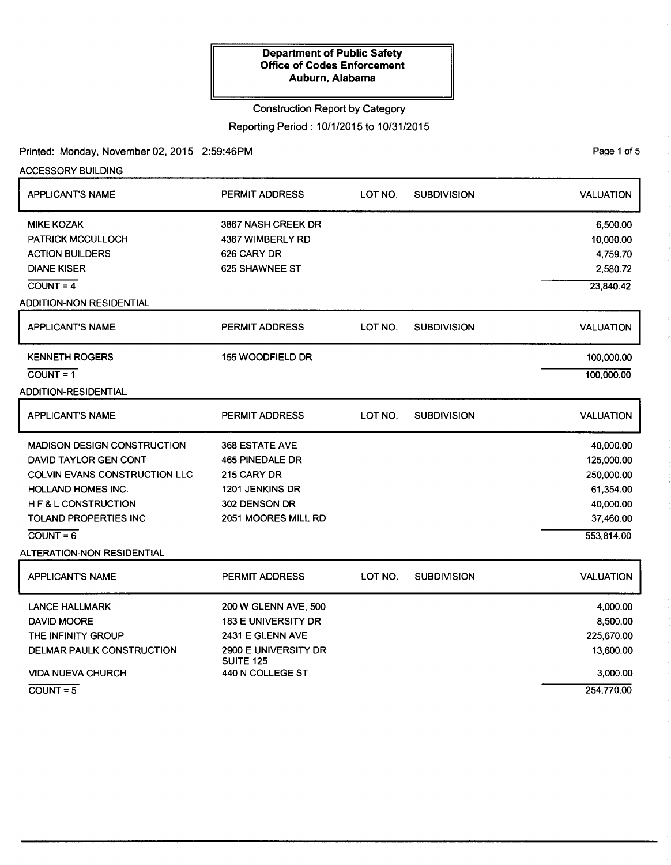# Construction Report by Category

Reporting Period: 10/1/2015 to 10/31/2015

# Printed: Monday, November 02, 2015 2:59:46PM

ACCESSORY BUILDING

| <b>APPLICANT'S NAME</b>            | PERMIT ADDRESS                           | LOT NO. | <b>SUBDIVISION</b> | <b>VALUATION</b> |
|------------------------------------|------------------------------------------|---------|--------------------|------------------|
| <b>MIKE KOZAK</b>                  | 3867 NASH CREEK DR                       |         |                    | 6,500.00         |
| <b>PATRICK MCCULLOCH</b>           | 4367 WIMBERLY RD                         |         |                    | 10,000.00        |
| <b>ACTION BUILDERS</b>             | 626 CARY DR                              |         |                    | 4,759.70         |
| <b>DIANE KISER</b>                 | 625 SHAWNEE ST                           |         |                    | 2,580.72         |
| $\overline{COUNT} = 4$             |                                          |         |                    | 23,840.42        |
| <b>ADDITION-NON RESIDENTIAL</b>    |                                          |         |                    |                  |
| <b>APPLICANT'S NAME</b>            | <b>PERMIT ADDRESS</b>                    | LOT NO. | <b>SUBDIVISION</b> | <b>VALUATION</b> |
| <b>KENNETH ROGERS</b>              | 155 WOODFIELD DR                         |         |                    | 100,000.00       |
| $\overline{COUNT} = 1$             |                                          |         |                    | 100,000.00       |
| ADDITION-RESIDENTIAL               |                                          |         |                    |                  |
| APPLICANT'S NAME                   | PERMIT ADDRESS                           | LOT NO. | <b>SUBDIVISION</b> | <b>VALUATION</b> |
| <b>MADISON DESIGN CONSTRUCTION</b> | <b>368 ESTATE AVE</b>                    |         |                    | 40,000.00        |
| DAVID TAYLOR GEN CONT              | 465 PINEDALE DR                          |         |                    | 125,000.00       |
| COLVIN EVANS CONSTRUCTION LLC      | 215 CARY DR                              |         |                    | 250,000.00       |
| <b>HOLLAND HOMES INC.</b>          | 1201 JENKINS DR                          |         |                    | 61,354.00        |
| H F & L CONSTRUCTION               | 302 DENSON DR                            |         |                    | 40,000.00        |
| <b>TOLAND PROPERTIES INC</b>       | 2051 MOORES MILL RD                      |         |                    | 37,460.00        |
| $COUNT = 6$                        |                                          |         |                    | 553,814.00       |
| ALTERATION-NON RESIDENTIAL         |                                          |         |                    |                  |
| <b>APPLICANT'S NAME</b>            | <b>PERMIT ADDRESS</b>                    | LOT NO. | <b>SUBDIVISION</b> | <b>VALUATION</b> |
| <b>LANCE HALLMARK</b>              | 200 W GLENN AVE, 500                     |         |                    | 4,000.00         |
| DAVID MOORE                        | <b>183 E UNIVERSITY DR</b>               |         |                    | 8,500.00         |
| THE INFINITY GROUP                 | 2431 E GLENN AVE                         |         |                    | 225,670.00       |
| DELMAR PAULK CONSTRUCTION          | 2900 E UNIVERSITY DR<br><b>SUITE 125</b> |         |                    | 13,600.00        |
| <b>VIDA NUEVA CHURCH</b>           | 440 N COLLEGE ST                         |         |                    | 3,000.00         |
| $COUNT = 5$                        |                                          |         |                    | 254,770.00       |

PaQe 1 of 5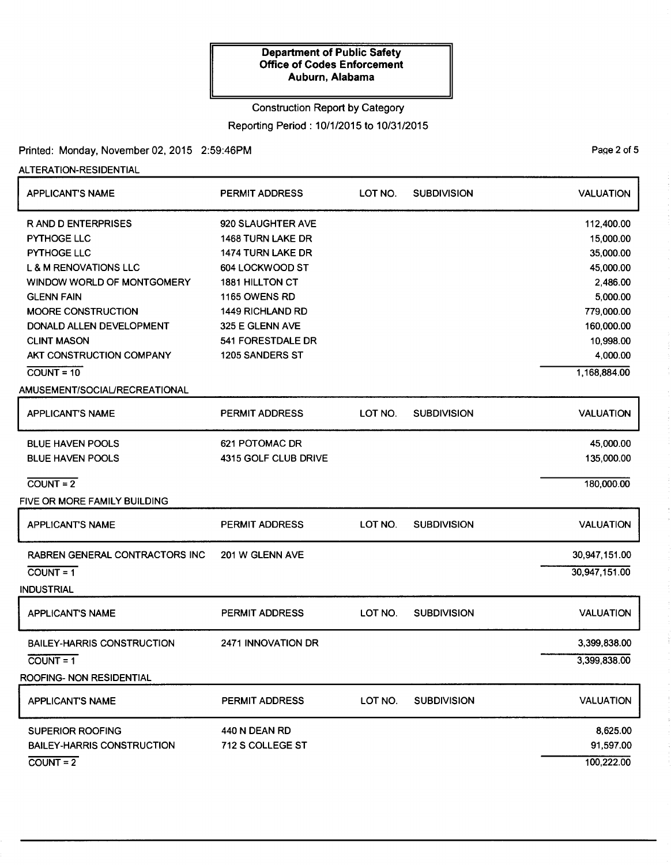### Construction Report by Category

Reporting Period: 10/1/2015 to 10/31/2015

# Printed: Monday, November 02, 2015 2:59:46PM

# ALTERATION-RESIDENTIAL

| <b>APPLICANT'S NAME</b>           | <b>PERMIT ADDRESS</b>    | LOT NO. | <b>SUBDIVISION</b> | <b>VALUATION</b> |
|-----------------------------------|--------------------------|---------|--------------------|------------------|
| <b>RAND D ENTERPRISES</b>         | 920 SLAUGHTER AVE        |         |                    | 112,400.00       |
| PYTHOGE LLC                       | <b>1468 TURN LAKE DR</b> |         |                    | 15,000.00        |
| PYTHOGE LLC                       | <b>1474 TURN LAKE DR</b> |         |                    | 35,000.00        |
| <b>L &amp; M RENOVATIONS LLC</b>  | 604 LOCKWOOD ST          |         |                    | 45,000.00        |
| WINDOW WORLD OF MONTGOMERY        | 1881 HILLTON CT          |         |                    | 2,486.00         |
| <b>GLENN FAIN</b>                 | 1165 OWENS RD            |         |                    | 5,000.00         |
| <b>MOORE CONSTRUCTION</b>         | <b>1449 RICHLAND RD</b>  |         |                    | 779,000.00       |
| DONALD ALLEN DEVELOPMENT          | 325 E GLENN AVE          |         |                    | 160,000.00       |
| <b>CLINT MASON</b>                | 541 FORESTDALE DR        |         |                    | 10,998.00        |
| AKT CONSTRUCTION COMPANY          | 1205 SANDERS ST          |         |                    | 4,000.00         |
| $COUNT = 10$                      |                          |         |                    | 1,168,884.00     |
| AMUSEMENT/SOCIAL/RECREATIONAL     |                          |         |                    |                  |
| <b>APPLICANT'S NAME</b>           | <b>PERMIT ADDRESS</b>    | LOT NO. | <b>SUBDIVISION</b> | <b>VALUATION</b> |
| <b>BLUE HAVEN POOLS</b>           | 621 POTOMAC DR           |         |                    | 45,000.00        |
| <b>BLUE HAVEN POOLS</b>           | 4315 GOLF CLUB DRIVE     |         |                    | 135,000.00       |
| $COUNT = 2$                       |                          |         |                    | 180,000.00       |
| FIVE OR MORE FAMILY BUILDING      |                          |         |                    |                  |
| <b>APPLICANT'S NAME</b>           | <b>PERMIT ADDRESS</b>    | LOT NO. | <b>SUBDIVISION</b> | <b>VALUATION</b> |
| RABREN GENERAL CONTRACTORS INC    | 201 W GLENN AVE          |         |                    | 30,947,151.00    |
| $COUNT = 1$                       |                          |         |                    | 30,947,151.00    |
| <b>INDUSTRIAL</b>                 |                          |         |                    |                  |
| <b>APPLICANT'S NAME</b>           | PERMIT ADDRESS           | LOT NO. | <b>SUBDIVISION</b> | <b>VALUATION</b> |
| <b>BAILEY-HARRIS CONSTRUCTION</b> | 2471 INNOVATION DR       |         |                    | 3,399,838.00     |
| $COUNT = 1$                       |                          |         |                    | 3,399,838.00     |
| ROOFING- NON RESIDENTIAL          |                          |         |                    |                  |
| <b>APPLICANT'S NAME</b>           | <b>PERMIT ADDRESS</b>    | LOT NO. | <b>SUBDIVISION</b> | <b>VALUATION</b> |
| <b>SUPERIOR ROOFING</b>           | 440 N DEAN RD            |         |                    | 8,625.00         |
| <b>BAILEY-HARRIS CONSTRUCTION</b> | 712 S COLLEGE ST         |         |                    | 91,597.00        |
| $COUNT = 2$                       |                          |         |                    | 100,222.00       |
|                                   |                          |         |                    |                  |

PaQe 2 of 5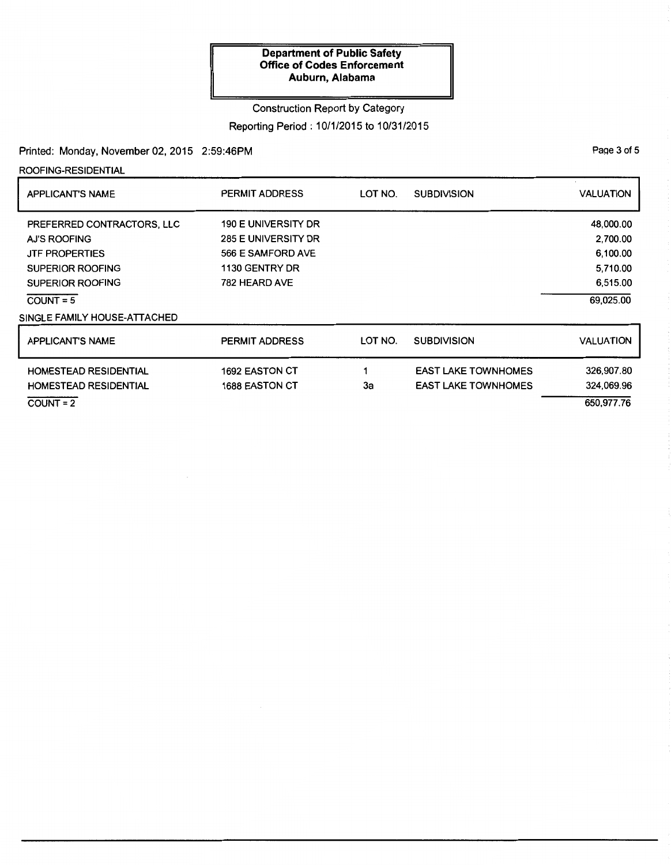### Construction Report by Category

Reporting Period: 10/1/2015 to 10/31/2015

# Printed: Monday, November 02, 2015 2:59:46PM

ROOFING-RESIDENTIAL

| <b>APPLICANT'S NAME</b>      | <b>PERMIT ADDRESS</b>      | LOT NO. | <b>SUBDIVISION</b>         | <b>VALUATION</b> |
|------------------------------|----------------------------|---------|----------------------------|------------------|
| PREFERRED CONTRACTORS, LLC   | <b>190 E UNIVERSITY DR</b> |         |                            | 48,000.00        |
| AJ'S ROOFING                 | 285 E UNIVERSITY DR        |         |                            | 2,700.00         |
| <b>JTF PROPERTIES</b>        | 566 E SAMFORD AVE          |         |                            | 6,100.00         |
| SUPERIOR ROOFING             | 1130 GENTRY DR             |         |                            | 5,710.00         |
| SUPERIOR ROOFING             | 782 HEARD AVE              |         |                            | 6,515.00         |
| $COUNT = 5$                  |                            |         |                            | 69,025.00        |
| SINGLE FAMILY HOUSE-ATTACHED |                            |         |                            |                  |
| <b>APPLICANT'S NAME</b>      | <b>PERMIT ADDRESS</b>      | LOT NO. | <b>SUBDIVISION</b>         | <b>VALUATION</b> |
| <b>HOMESTEAD RESIDENTIAL</b> | <b>1692 EASTON CT</b>      |         | <b>EAST LAKE TOWNHOMES</b> | 326,907.80       |
| <b>HOMESTEAD RESIDENTIAL</b> | <b>1688 EASTON CT</b>      | 3a      | <b>EAST LAKE TOWNHOMES</b> | 324,069.96       |
| $COUNT = 2$                  |                            |         |                            | 650,977.76       |

PaQe 3 of 5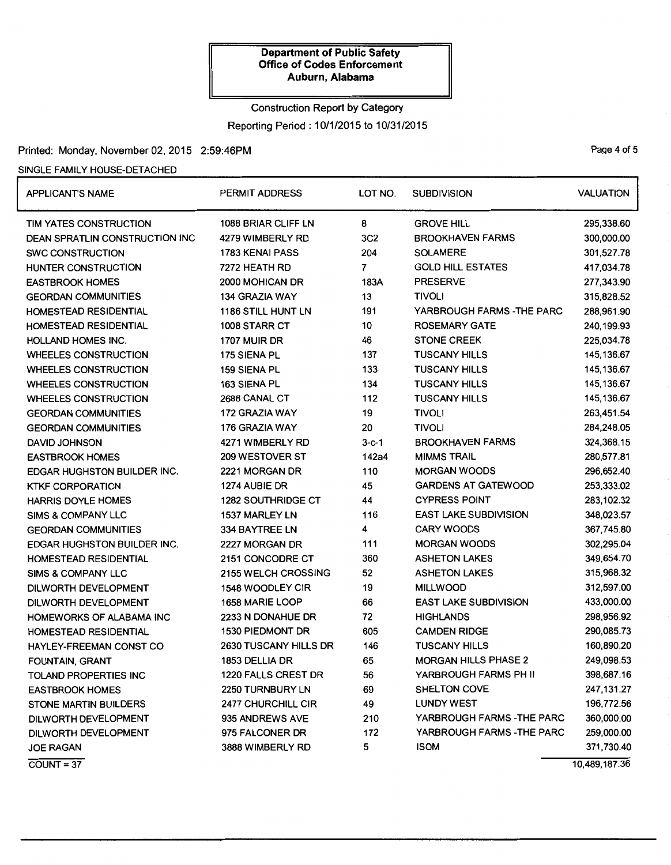# Construction Report by Category Reporting Period: 10/1/2015 to 10/31/2015

# Printed: Monday, November 02, 2015 2:59:46PM example and the state of 5 and 2015 2:59:46PM

### SINGLE FAMILY HOUSE-DETACHED

| <b>APPLICANT'S NAME</b>        | PERMIT ADDRESS            | LOT NO.         | <b>SUBDIVISION</b>           | <b>VALUATION</b> |
|--------------------------------|---------------------------|-----------------|------------------------------|------------------|
| TIM YATES CONSTRUCTION         | 1088 BRIAR CLIFF LN       | 8               | <b>GROVE HILL</b>            | 295,338.60       |
| DEAN SPRATLIN CONSTRUCTION INC | 4279 WIMBERLY RD          | 3C <sub>2</sub> | <b>BROOKHAVEN FARMS</b>      | 300,000.00       |
| <b>SWC CONSTRUCTION</b>        | 1783 KENAI PASS           | 204             | <b>SOLAMERE</b>              | 301,527.78       |
| HUNTER CONSTRUCTION            | 7272 HEATH RD             | 7               | <b>GOLD HILL ESTATES</b>     | 417,034.78       |
| <b>EASTBROOK HOMES</b>         | 2000 MOHICAN DR           | 183A            | <b>PRESERVE</b>              | 277,343.90       |
| <b>GEORDAN COMMUNITIES</b>     | 134 GRAZIA WAY            | 13              | <b>TIVOLI</b>                | 315,828.52       |
| HOMESTEAD RESIDENTIAL          | <b>1186 STILL HUNT LN</b> | 191             | YARBROUGH FARMS - THE PARC   | 288,961.90       |
| HOMESTEAD RESIDENTIAL          | 1008 STARR CT             | 10              | <b>ROSEMARY GATE</b>         | 240,199.93       |
| <b>HOLLAND HOMES INC.</b>      | 1707 MUIR DR              | 46              | <b>STONE CREEK</b>           | 225,034.78       |
| WHEELES CONSTRUCTION           | 175 SIENA PL              | 137             | <b>TUSCANY HILLS</b>         | 145,136.67       |
| <b>WHEELES CONSTRUCTION</b>    | 159 SIENA PL              | 133             | <b>TUSCANY HILLS</b>         | 145,136.67       |
| <b>WHEELES CONSTRUCTION</b>    | 163 SIENA PL              | 134             | <b>TUSCANY HILLS</b>         | 145,136.67       |
| <b>WHEELES CONSTRUCTION</b>    | 2688 CANAL CT             | 112             | <b>TUSCANY HILLS</b>         | 145,136.67       |
| <b>GEORDAN COMMUNITIES</b>     | 172 GRAZIA WAY            | 19              | <b>TIVOLI</b>                | 263,451.54       |
| <b>GEORDAN COMMUNITIES</b>     | 176 GRAZIA WAY            | 20              | <b>TIVOLI</b>                | 284,248.05       |
| <b>DAVID JOHNSON</b>           | 4271 WIMBERLY RD          | $3 - c - 1$     | <b>BROOKHAVEN FARMS</b>      | 324,368.15       |
| <b>EASTBROOK HOMES</b>         | 209 WESTOVER ST           | 142a4           | <b>MIMMS TRAIL</b>           | 280,577.81       |
| EDGAR HUGHSTON BUILDER INC.    | 2221 MORGAN DR            | 110             | <b>MORGAN WOODS</b>          | 296,652.40       |
| <b>KTKF CORPORATION</b>        | 1274 AUBIE DR             | 45              | <b>GARDENS AT GATEWOOD</b>   | 253,333.02       |
| <b>HARRIS DOYLE HOMES</b>      | <b>1282 SOUTHRIDGE CT</b> | 44              | <b>CYPRESS POINT</b>         | 283,102.32       |
| <b>SIMS &amp; COMPANY LLC</b>  | 1537 MARLEY LN            | 116             | <b>EAST LAKE SUBDIVISION</b> | 348,023.57       |
| <b>GEORDAN COMMUNITIES</b>     | 334 BAYTREE LN            | 4               | <b>CARY WOODS</b>            | 367,745.80       |
| EDGAR HUGHSTON BUILDER INC.    | 2227 MORGAN DR            | 111             | <b>MORGAN WOODS</b>          | 302,295.04       |
| <b>HOMESTEAD RESIDENTIAL</b>   | 2151 CONCODRE CT          | 360             | <b>ASHETON LAKES</b>         | 349,654.70       |
| <b>SIMS &amp; COMPANY LLC</b>  | 2155 WELCH CROSSING       | 52              | <b>ASHETON LAKES</b>         | 315,968.32       |
| DILWORTH DEVELOPMENT           | 1548 WOODLEY CIR          | 19              | <b>MILLWOOD</b>              | 312,597.00       |
| DILWORTH DEVELOPMENT           | 1658 MARIE LOOP           | 66              | <b>EAST LAKE SUBDIVISION</b> | 433,000.00       |
| HOMEWORKS OF ALABAMA INC       | 2233 N DONAHUE DR         | 72              | <b>HIGHLANDS</b>             | 298,956.92       |
| HOMESTEAD RESIDENTIAL          | 1530 PIEDMONT DR          | 605             | <b>CAMDEN RIDGE</b>          | 290,085.73       |
| HAYLEY-FREEMAN CONST CO        | 2630 TUSCANY HILLS DR     | 146             | <b>TUSCANY HILLS</b>         | 160,890.20       |
| FOUNTAIN, GRANT                | 1853 DELLIA DR            | 65              | <b>MORGAN HILLS PHASE 2</b>  | 249,098.53       |
| <b>TOLAND PROPERTIES INC</b>   | 1220 FALLS CREST DR       | 56              | YARBROUGH FARMS PH II        | 398,687.16       |
| <b>EASTBROOK HOMES</b>         | 2250 TURNBURY LN          | 69              | <b>SHELTON COVE</b>          | 247,131.27       |
| <b>STONE MARTIN BUILDERS</b>   | 2477 CHURCHILL CIR        | 49              | <b>LUNDY WEST</b>            | 196,772.56       |
| DILWORTH DEVELOPMENT           | 935 ANDREWS AVE           | 210             | YARBROUGH FARMS - THE PARC   | 360,000.00       |
| DILWORTH DEVELOPMENT           | 975 FALCONER DR           | 172             | YARBROUGH FARMS - THE PARC   | 259,000.00       |
| <b>JOE RAGAN</b>               | 3888 WIMBERLY RD          | 5               | <b>ISOM</b>                  | 371,730.40       |
| $COUNT = 37$                   |                           |                 |                              | 10,489,187.36    |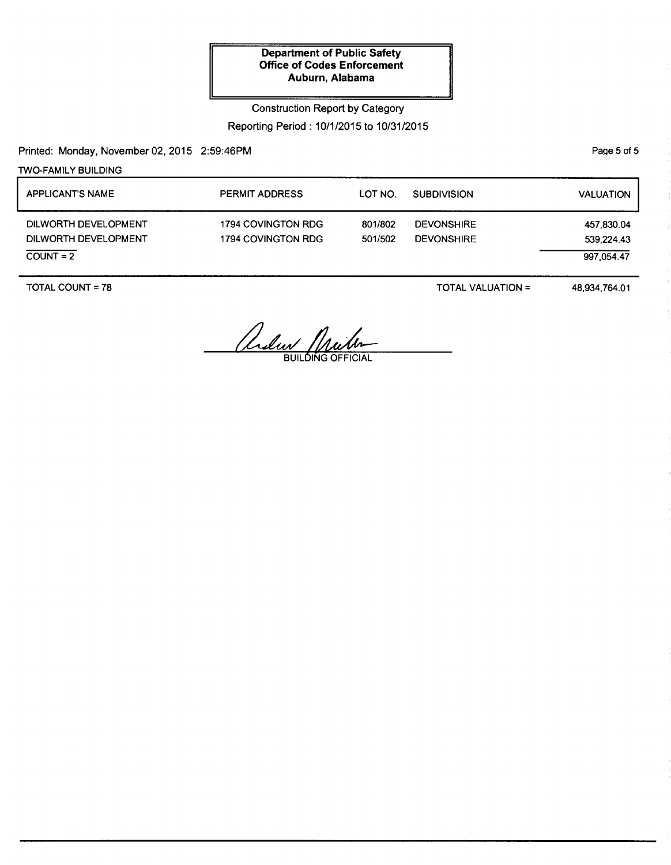Construction Report by Category

Reporting Period: 10/1/2015 to 10/31/2015

Printed: Monday, November 02, 2015 2:59:46PM

TWO-FAMILY BUILDING

APPLICANT'S NAME DILWORTH DEVELOPMENT DILWORTH DEVELOPMENT  $COUNT = 2$ PERMIT ADDRESS 1794 COVINGTON RDG 1794 COVINGTON RDG LOT NO. SUBDIVISION 801/802 DEVONSHIRE 501/502 DEVONSHIRE VALUATION 457,830.04 539,224.43 997,054.47

TOTAL COUNT= 78

TOTAL VALUATION=

48,934,764.01

Ander Mulen

PaQe 5 of 5